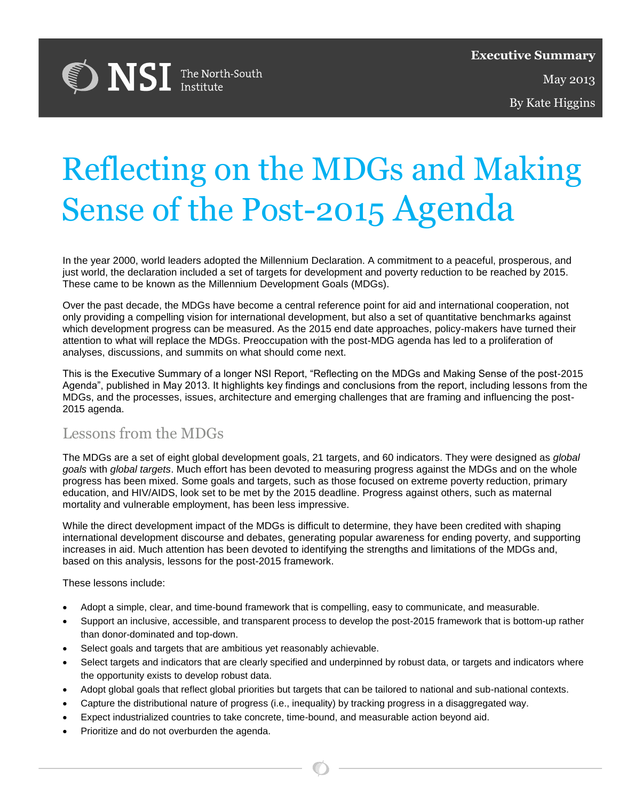

By Kate Higgins

# Reflecting on the MDGs and Making Sense of the Post-2015 Agenda By Jennifer Erin Slahub

In the year 2000, world leaders adopted the Millennium Declaration. A commitment to a peaceful, prosperous, and just world, the declaration included a set of targets for development and poverty reduction to be reached by 2015. These came to be known as the Millennium Development Goals (MDGs).

Over the past decade, the MDGs have become a central reference point for aid and international cooperation, not only providing a compelling vision for international development, but also a set of quantitative benchmarks against which development progress can be measured. As the 2015 end date approaches, policy-makers have turned their attention to what will replace the MDGs. Preoccupation with the post-MDG agenda has led to a proliferation of analyses, discussions, and summits on what should come next.

This is the Executive Summary of a longer NSI Report, "Reflecting on the MDGs and Making Sense of the post-2015 Agenda", published in May 2013. It highlights key findings and conclusions from the report, including lessons from the MDGs, and the processes, issues, architecture and emerging challenges that are framing and influencing the post-2015 agenda.

# Lessons from the MDGs

The MDGs are a set of eight global development goals, 21 targets, and 60 indicators. They were designed as *global goals* with *global targets*. Much effort has been devoted to measuring progress against the MDGs and on the whole progress has been mixed. Some goals and targets, such as those focused on extreme poverty reduction, primary education, and HIV/AIDS, look set to be met by the 2015 deadline. Progress against others, such as maternal mortality and vulnerable employment, has been less impressive.

While the direct development impact of the MDGs is difficult to determine, they have been credited with shaping international development discourse and debates, generating popular awareness for ending poverty, and supporting increases in aid. Much attention has been devoted to identifying the strengths and limitations of the MDGs and, based on this analysis, lessons for the post-2015 framework.

These lessons include:

- Adopt a simple, clear, and time-bound framework that is compelling, easy to communicate, and measurable.
- Support an inclusive, accessible, and transparent process to develop the post-2015 framework that is bottom-up rather than donor-dominated and top-down.
- Select goals and targets that are ambitious yet reasonably achievable.
- Select targets and indicators that are clearly specified and underpinned by robust data, or targets and indicators where the opportunity exists to develop robust data.
- Adopt global goals that reflect global priorities but targets that can be tailored to national and sub-national contexts.
- Capture the distributional nature of progress (i.e., inequality) by tracking progress in a disaggregated way.
- Expect industrialized countries to take concrete, time-bound, and measurable action beyond aid.
- Prioritize and do not overburden the agenda.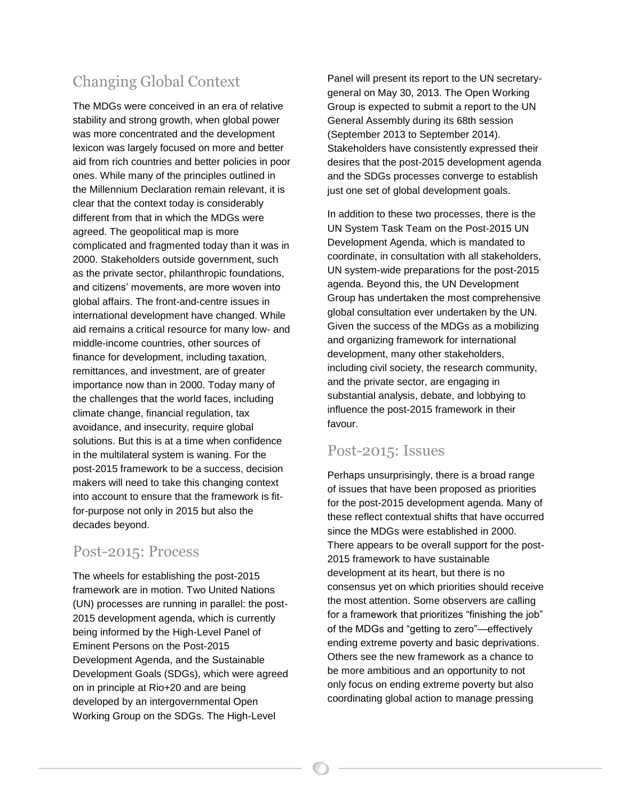# Changing Global Context

The MDGs were conceived in an era of relative stability and strong growth, when global power was more concentrated and the development lexicon was largely focused on more and better aid from rich countries and better policies in poor ones. While many of the principles outlined in the Millennium Declaration remain relevant, it is clear that the context today is considerably different from that in which the MDGs were agreed. The geopolitical map is more complicated and fragmented today than it was in 2000. Stakeholders outside government, such as the private sector, philanthropic foundations, and citizens' movements, are more woven into global affairs. The front-and-centre issues in international development have changed. While aid remains a critical resource for many low- and middle-income countries, other sources of finance for development, including taxation, remittances, and investment, are of greater importance now than in 2000. Today many of the challenges that the world faces, including climate change, financial regulation, tax avoidance, and insecurity, require global solutions. But this is at a time when confidence in the multilateral system is waning. For the post-2015 framework to be a success, decision makers will need to take this changing context into account to ensure that the framework is fitfor-purpose not only in 2015 but also the decades beyond.

## Post-2015: Process

The wheels for establishing the post-2015 framework are in motion. Two United Nations (UN) processes are running in parallel: the post-2015 development agenda, which is currently being informed by the High-Level Panel of Eminent Persons on the Post-2015 Development Agenda, and the Sustainable Development Goals (SDGs), which were agreed on in principle at Rio+20 and are being developed by an intergovernmental Open Working Group on the SDGs. The High-Level

Panel will present its report to the UN secretarygeneral on May 30, 2013. The Open Working Group is expected to submit a report to the UN General Assembly during its 68th session (September 2013 to September 2014). Stakeholders have consistently expressed their desires that the post-2015 development agenda and the SDGs processes converge to establish just one set of global development goals.

In addition to these two processes, there is the UN System Task Team on the Post-2015 UN Development Agenda, which is mandated to coordinate, in consultation with all stakeholders, UN system-wide preparations for the post-2015 agenda. Beyond this, the UN Development Group has undertaken the most comprehensive global consultation ever undertaken by the UN. Given the success of the MDGs as a mobilizing and organizing framework for international development, many other stakeholders, including civil society, the research community, and the private sector, are engaging in substantial analysis, debate, and lobbying to influence the post-2015 framework in their favour.

# Post-2015: Issues

Perhaps unsurprisingly, there is a broad range of issues that have been proposed as priorities for the post-2015 development agenda. Many of these reflect contextual shifts that have occurred since the MDGs were established in 2000. There appears to be overall support for the post-2015 framework to have sustainable development at its heart, but there is no consensus yet on which priorities should receive the most attention. Some observers are calling for a framework that prioritizes "finishing the job" of the MDGs and "getting to zero"—effectively ending extreme poverty and basic deprivations. Others see the new framework as a chance to be more ambitious and an opportunity to not only focus on ending extreme poverty but also coordinating global action to manage pressing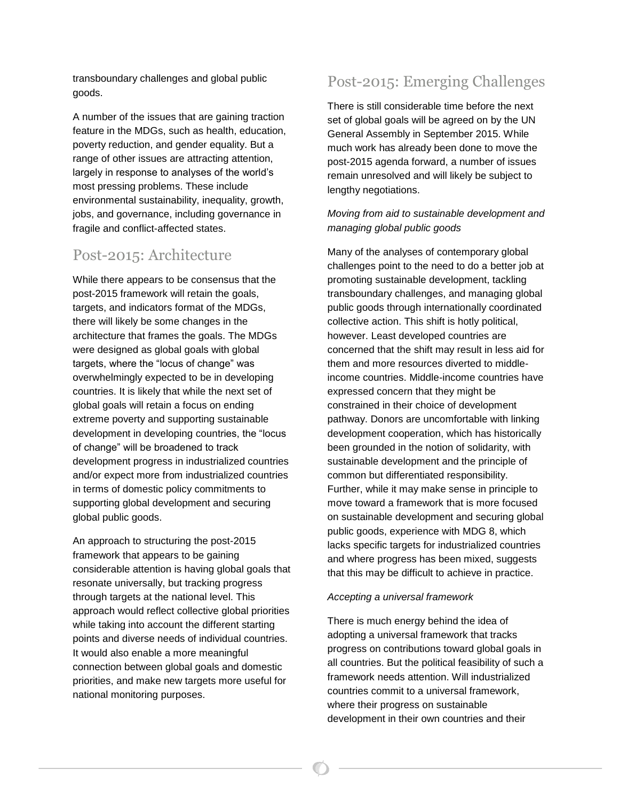transboundary challenges and global public goods.

A number of the issues that are gaining traction feature in the MDGs, such as health, education, poverty reduction, and gender equality. But a range of other issues are attracting attention, largely in response to analyses of the world's most pressing problems. These include environmental sustainability, inequality, growth, jobs, and governance, including governance in fragile and conflict-affected states.

# Post-2015: Architecture

While there appears to be consensus that the post-2015 framework will retain the goals, targets, and indicators format of the MDGs, there will likely be some changes in the architecture that frames the goals. The MDGs were designed as global goals with global targets, where the "locus of change" was overwhelmingly expected to be in developing countries. It is likely that while the next set of global goals will retain a focus on ending extreme poverty and supporting sustainable development in developing countries, the "locus of change" will be broadened to track development progress in industrialized countries and/or expect more from industrialized countries in terms of domestic policy commitments to supporting global development and securing global public goods.

An approach to structuring the post-2015 framework that appears to be gaining considerable attention is having global goals that resonate universally, but tracking progress through targets at the national level. This approach would reflect collective global priorities while taking into account the different starting points and diverse needs of individual countries. It would also enable a more meaningful connection between global goals and domestic priorities, and make new targets more useful for national monitoring purposes.

# Post-2015: Emerging Challenges

There is still considerable time before the next set of global goals will be agreed on by the UN General Assembly in September 2015. While much work has already been done to move the post-2015 agenda forward, a number of issues remain unresolved and will likely be subject to lengthy negotiations.

#### *Moving from aid to sustainable development and managing global public goods*

Many of the analyses of contemporary global challenges point to the need to do a better job at promoting sustainable development, tackling transboundary challenges, and managing global public goods through internationally coordinated collective action. This shift is hotly political, however. Least developed countries are concerned that the shift may result in less aid for them and more resources diverted to middleincome countries. Middle-income countries have expressed concern that they might be constrained in their choice of development pathway. Donors are uncomfortable with linking development cooperation, which has historically been grounded in the notion of solidarity, with sustainable development and the principle of common but differentiated responsibility. Further, while it may make sense in principle to move toward a framework that is more focused on sustainable development and securing global public goods, experience with MDG 8, which lacks specific targets for industrialized countries and where progress has been mixed, suggests that this may be difficult to achieve in practice.

#### *Accepting a universal framework*

There is much energy behind the idea of adopting a universal framework that tracks progress on contributions toward global goals in all countries. But the political feasibility of such a framework needs attention. Will industrialized countries commit to a universal framework, where their progress on sustainable development in their own countries and their